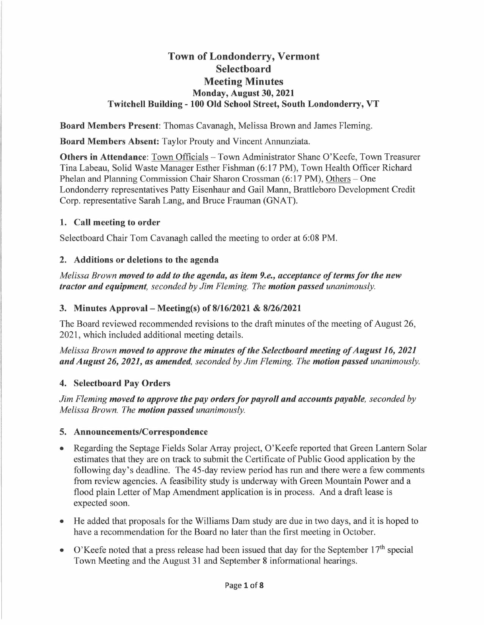# **Town of Londonderry, Vermont Selectboard Meeting Minutes Monday, August 30, 2021 Twitchell Building - 100 Old School Street, South Londonderry, VT**

**Board Members Present:** Thomas Cavanagh, Melissa Brown and James Fleming.

**Board Members Absent:** Taylor Prouty and Vincent Annunziata.

**Others in Attendance:** Town Officials - Town Administrator Shane O'Keefe, Town Treasurer Tina Labeau, Solid Waste Manager Esther Fishman (6: 17 PM), Town Health Officer Richard Phelan and Planning Commission Chair Sharon Crossman (6:17 PM), Others – One Londonderry representatives Patty Eisenhaur and Gail Mann, Brattleboro Development Credit Corp. representative Sarah Lang, and Bruce Frauman (GNAT).

### **1. Call meeting to order**

Selectboard Chair Tom Cavanagh called the meeting to order at 6:08 PM.

#### **2. Additions or deletions to the agenda**

*Melissa Brown moved to add to the agenda, as item 9.e., acceptance of terms for the new tractor and equipment, seconded by Jim Fleming. The motion passed unanimously.* 

#### **3. Minutes Approval-Meeting(s) of 8/16/2021** & **8/26/2021**

The Board reviewed recommended revisions to the draft minutes of the meeting of August 26, 2021, which included additional meeting details.

*Melissa Brown moved to approve the minutes of the Selectboard meeting of August 16, 2021 and August 26, 2021, as amended, seconded by Jim Fleming. The motion passed unanimously.* 

### **4. Selectboard Pay Orders**

*Jim Fleming moved to approve the pay orders for payroll and accounts payable, seconded by Melissa Brown. The motion passed unanimously.* 

### **5. Announcements/Correspondence**

- Regarding the Septage Fields Solar Array project, O'Keefe reported that Green Lantern Solar estimates that they are on track to submit the Certificate of Public Good application by the following day's deadline. The 45-day review period has run and there were a few comments from review agencies. A feasibility study is underway with Green Mountain Power and a flood plain Letter of Map Amendment application is in process. And a draft lease is expected soon.
- He added that proposals for the Williams Dam study are due in two days, and it is hoped to have a recommendation for the Board no later than the first meeting in October.
- O'Keefe noted that a press release had been issued that day for the September  $17<sup>th</sup>$  special Town Meeting and the August 31 and September 8 informational hearings.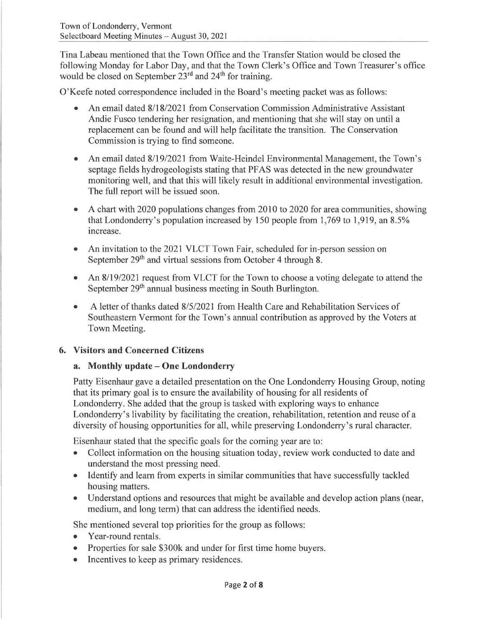Tina Labeau mentioned that the Town Office and the Transfer Station would be closed the following Monday for Labor Day, and that the Town Clerk's Office and Town Treasurer's office would be closed on September 23<sup>rd</sup> and 24<sup>th</sup> for training.

O'Keefe noted correspondence included in the Board's meeting packet was as follows:

- An email dated 8/18/2021 from Conservation Commission Administrative Assistant Andie Fusco tendering her resignation, and mentioning that she will stay on until a replacement can be found and will help facilitate the transition. The Conservation Commission is trying to find someone.
- An email dated 8/19/2021 from Waite-Heindel Environmental Management, the Town's septage fields hydrogeologists stating that PF AS was detected in the new groundwater monitoring well, and that this will likely result in additional environmental investigation. The full report will be issued soon.
- A chart with 2020 populations changes from 2010 to 2020 for area communities, showing that Londonderry's population increased by 150 people from 1,769 to 1,919, an 8.5% mcrease.
- An invitation to the 2021 VLCT Town Fair, scheduled for in-person session on September 29<sup>th</sup> and virtual sessions from October 4 through 8.
- An 8/19/2021 request from VLCT for the Town to choose a voting delegate to attend the September 29<sup>th</sup> annual business meeting in South Burlington.
- A letter of thanks dated 8/5/2021 from Health Care and Rehabilitation Services of Southeastern Vermont for the Town's annual contribution as approved by the Voters at Town Meeting.

# **6. Visitors and Concerned Citizens**

### **a. Monthly update - One Londonderry**

Patty Eisenhaur gave a detailed presentation on the One Londonderry Housing Group, noting that its primary goal is to ensure the availability of housing for all residents of Londonderry. She added that the group is tasked with exploring ways to enhance Londonderry's livability by facilitating the creation, rehabilitation, retention and reuse of a diversity of housing opportunities for all, while preserving Londonderry's rural character.

Eisenhaur stated that the specific goals for the coming year are to:

- Collect information on the housing situation today, review work conducted to date and understand the most pressing need.
- Identify and learn from experts in similar communities that have successfully tackled housing matters.
- Understand options and resources that might be available and develop action plans (near, medium, and long term) that can address the identified needs.

She mentioned several top priorities for the group as follows:

- Year-round rentals.
- Properties for sale \$300k and under for first time home buyers.
- Incentives to keep as primary residences.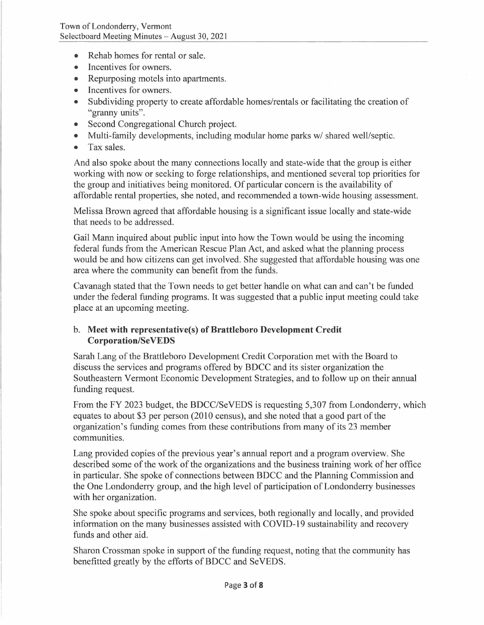- Rehab homes for rental or sale.
- Incentives for owners.
- Repurposing motels into apartments.
- Incentives for owners.
- Subdividing property to create affordable homes/rentals or facilitating the creation of "granny units".
- Second Congregational Church project.
- Multi-family developments, including modular home parks w/ shared well/septic.
- Tax sales.

And also spoke about the many connections locally and state-wide that the group is either working with now or seeking to forge relationships, and mentioned several top priorities for the group and initiatives being monitored. Of particular concern is the availability of affordable rental properties, she noted, and recommended a town-wide housing assessment.

Melissa Brown agreed that affordable housing is a significant issue locally and state-wide that needs to be addressed.

Gail Mann inquired about public input into how the Town would be using the incoming federal funds from the American Rescue Plan Act, and asked what the planning process would be and how citizens can get involved. She suggested that affordable housing was one area where the community can benefit from the funds.

Cavanagh stated that the Town needs to get better handle on what can and can't be funded under the federal funding programs. It was suggested that a public input meeting could take place at an upcoming meeting.

#### b. **Meet with representative(s) of Brattleboro Development Credit Corporation/Se VEDS**

Sarah Lang of the Brattleboro Development Credit Corporation met with the Board to discuss the services and programs offered by BDCC and its sister organization the Southeastern Vermont Economic Development Strategies, and to follow up on their annual funding request.

From the FY 2023 budget, the BDCC/SeVEDS is requesting 5,307 from Londonderry, which equates to about \$3 per person (2010 census), and she noted that a good part of the organization's funding comes from these contributions from many of its 23 member communities.

Lang provided copies of the previous year's annual report and a program overview. She described some of the work of the organizations and the business training work of her office in particular. She spoke of connections between BDCC and the Planning Commission and the One Londonderry group, and the high level of participation of Londonderry businesses with her organization.

She spoke about specific programs and services, both regionally and locally, and provided information on the many businesses assisted with COVID-19 sustainability and recovery funds and other aid.

Sharon Crossman spoke in support of the funding request, noting that the community has benefitted greatly by the efforts of BDCC and SeVEDS.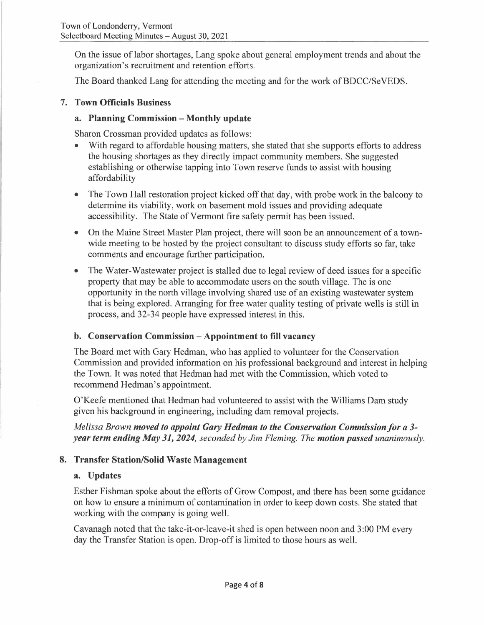On the issue of labor shortages, Lang spoke about general employment trends and about the organization's recruitment and retention efforts.

The Board thanked Lang for attending the meeting and for the work of BDCC/SeVEDS.

### **7. Town Officials Business**

### **a. Planning Commission - Monthly update**

Sharon Crossman provided updates as follows:

- With regard to affordable housing matters, she stated that she supports efforts to address the housing shortages as they directly impact community members. She suggested establishing or otherwise tapping into Town reserve funds to assist with housing affordability
- The Town Hall restoration project kicked off that day, with probe work in the balcony to determine its viability, work on basement mold issues and providing adequate accessibility. The State of Vermont fire safety permit has been issued.
- On the Maine Street Master Plan project, there will soon be an announcement of a townwide meeting to be hosted by the project consultant to discuss study efforts so far, take comments and encourage further participation.
- The Water-Wastewater project is stalled due to legal review of deed issues for a specific property that may be able to accommodate users on the south village. The is one opportunity in the north village involving shared use of an existing wastewater system that is being explored. Arranging for free water quality testing of private wells is still in process, and 32-34 people have expressed interest in this.

### **b. Conservation Commission - Appointment to fill vacancy**

The Board met with Gary Hedman, who has applied to volunteer for the Conservation Commission and provided information on his professional background and interest in helping the Town. It was noted that Hedman had met with the Commission, which voted to recommend Hedman's appointment.

O'Keefe mentioned that Hedman had volunteered to assist with the Williams Dam study given his background in engineering, including dam removal projects.

*Melissa Brown moved to appoint Gary Hedman to the Conservation Commission for a 3year term ending May 31, 2024, seconded by Jim Fleming. The motion passed unanimously.* 

# **8. Transfer Station/Solid Waste Management**

### **a. Updates**

Esther Fishman spoke about the efforts of Grow Compost, and there has been some guidance on how to ensure a minimum of contamination in order to keep down costs. She stated that working with the company is going well.

Cavanagh noted that the take-it-or-leave-it shed is open between noon and 3 :00 PM every day the Transfer Station is open. Drop-off is limited to those hours as well.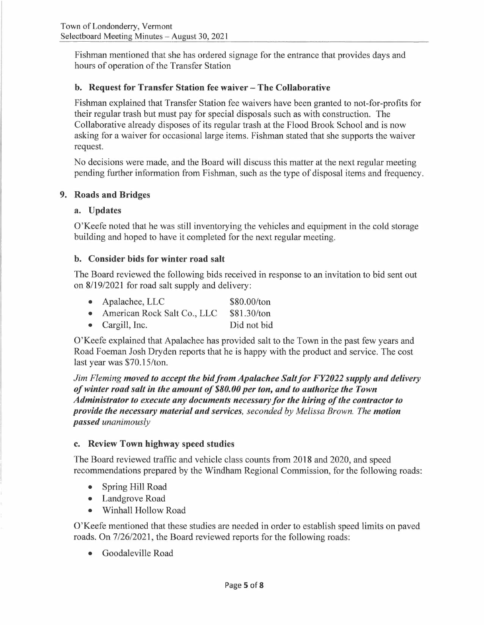Fishman mentioned that she has ordered signage for the entrance that provides days and hours of operation of the Transfer Station

### **b. Request for Transfer Station fee waiver - The Collaborative**

Fishman explained that Transfer Station fee waivers have been granted to not-for-profits for their regular trash but must pay for special disposals such as with construction. The Collaborative already disposes of its regular trash at the Flood Brook School and is now asking for a waiver for occasional large items. Fishman stated that she supports the waiver request.

No decisions were made, and the Board will discuss this matter at the next regular meeting pending further information from Fishman, such as the type of disposal items and frequency.

### **9. Roads and Bridges**

### **a. Updates**

O'Keefe noted that he was still inventorying the vehicles and equipment in the cold storage building and hoped to have it completed for the next regular meeting.

### **b. Consider bids for winter road salt**

The Board reviewed the following bids received in response to an invitation to bid sent out on 8/19/2021 for road salt supply and delivery:

- Apalachee, LLC \$80.00/ton
- American Rock Salt Co., LLC \$81.30/ton
- Cargill, Inc. Did not bid

O'Keefe explained that Apalachee has provided salt to the Town in the past few years and Road Foeman Josh Dryden reports that he is happy with the product and service. The cost last year was \$70.15/ton.

*Jim Fleming moved to accept the bid from Apalachee Salt/or FY2022 supply and delivery of winter road salt in the amount of \$80. 00 per ton, and to authorize the Town Administrator to execute any documents necessary for the hiring of the contractor to provide the necessary material and services, seconded by Melissa Brown. The motion passed unanimously* 

### **c. Review Town highway speed studies**

The Board reviewed traffic and vehicle class counts from 2018 and 2020, and speed recommendations prepared by the Windham Regional Commission, for the following roads:

- Spring Hill Road
- Landgrove Road
- Winhall Hollow Road

O'Keefe mentioned that these studies are needed in order to establish speed limits on paved roads. On 7/26/2021, the Board reviewed reports for the following roads:

• Goodaleville Road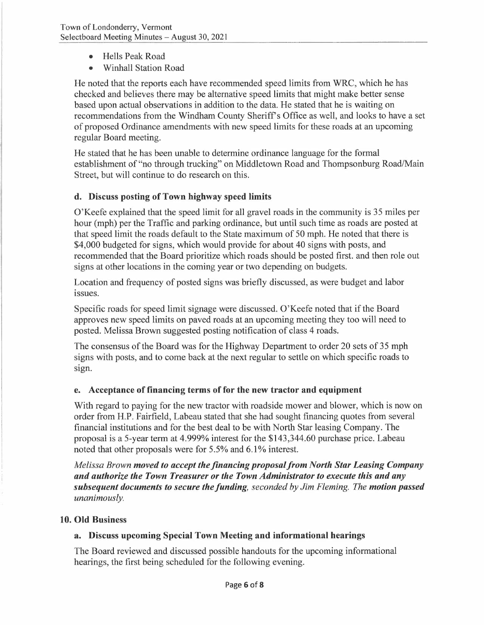- Hells Peak Road
- Winhall Station Road

He noted that the reports each have recommended speed limits from WRC, which he has checked and believes there may be alternative speed limits that might make better sense based upon actual observations in addition to the data. He stated that he is waiting on recommendations from the Windham County Sheriff's Office as well, and looks to have a set of proposed Ordinance amendments with new speed limits for these roads at an upcoming regular Board meeting.

He stated that he has been unable to determine ordinance language for the formal establishment of "no through trucking" on Middletown Road and Thompsonburg Road/Main Street, but will continue to do research on this.

# **d. Discuss posting of Town highway speed limits**

O'Keefe explained that the speed limit for all gravel roads in the community is 35 miles per hour (mph) per the Traffic and parking ordinance, but until such time as roads are posted at that speed limit the roads default to the State maximum of 50 mph. He noted that there is \$4,000 budgeted for signs, which would provide for about 40 signs with posts, and recommended that the Board prioritize which roads should be posted first. and then role out signs at other locations in the coming year or two depending on budgets.

Location and frequency of posted signs was briefly discussed, as were budget and labor issues.

Specific roads for speed limit signage were discussed. O'Keefe noted that if the Board approves new speed limits on paved roads at an upcoming meeting they too will need to posted. Melissa Brown suggested posting notification of class 4 roads.

The consensus of the Board was for the Highway Department to order 20 sets of 35 mph signs with posts, and to come back at the next regular to settle on which specific roads to sign.

# **e. Acceptance of financing terms of for the new tractor and equipment**

With regard to paying for the new tractor with roadside mower and blower, which is now on order from H.P. Fairfield, Labeau stated that she had sought financing quotes from several financial institutions and for the best deal to be with North Star leasing Company. The proposal is a 5-year term at 4.999% interest for the \$143,344.60 purchase price. Labeau noted that other proposals were for 5.5% and 6.1 % interest.

*Melissa Brown moved to accept the financing proposal from North Star Leasing Company and authorize the Town Treasurer or the Town Administrator to execute this and any subsequent documents to secure the funding, seconded by Jim Fleming. The motion passed unanimously.* 

### **10. Old Business**

# **a. Discuss upcoming Special Town Meeting and informational hearings**

The Board reviewed and discussed possible handouts for the upcoming informational hearings, the first being scheduled for the following evening.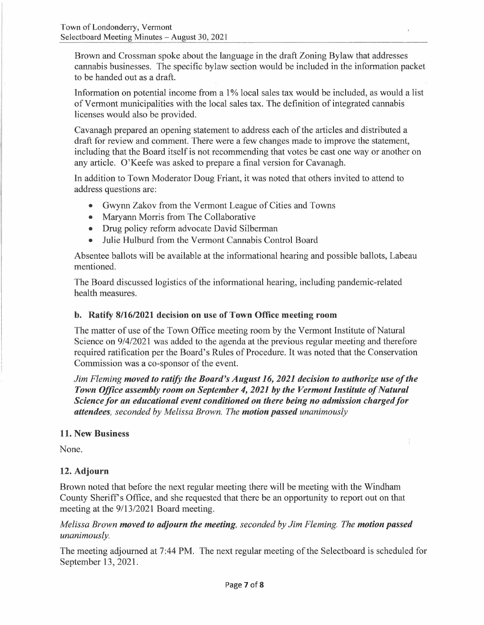Brown and Crossman spoke about the language in the draft Zoning Bylaw that addresses cannabis businesses. The specific bylaw section would be included in the information packet to be handed out as a draft.

Information on potential income from a 1% local sales tax would be included, as would a list of Vermont municipalities with the local sales tax. The definition of integrated cannabis licenses would also be provided.

Cavanagh prepared an opening statement to address each of the articles and distributed a draft for review and comment. There were a few changes made to improve the statement, including that the Board itself is not recommending that votes be cast one way or another on any article. O'Keefe was asked to prepare a final version for Cavanagh.

In addition to Town Moderator Doug Friant, it was noted that others invited to attend to address questions are:

- Gwynn Zakov from the Vermont League of Cities and Towns
- Maryann Morris from The Collaborative
- Drug policy reform advocate David Silberman
- Julie Hulburd from the Vermont Cannabis Control Board

Absentee ballots will be available at the informational hearing and possible ballots, Labeau mentioned.

The Board discussed logistics of the informational hearing, including pandemic-related health measures.

### **b. Ratify 8/16/2021 decision on use of Town Office meeting room**

The matter of use of the Town Office meeting room by the Vermont Institute of Natural Science on 9/4/2021 was added to the agenda at the previous regular meeting and therefore required ratification per the Board's Rules of Procedure. It was noted that the Conservation Commission was a co-sponsor of the event.

*Jim Fleming moved to ratify the Board's August 16, 2021 decision to authorize use of the Town Office assembly room on September 4, 2021 by the Vermont Institute of Natural Science for an educational event conditioned on there being no admission charged for attendees, seconded by Melissa Brown. The motion passed unanimously* 

### **11. New Business**

None.

# **12. Adjourn**

Brown noted that before the next regular meeting there will be meeting with the Windham County Sheriff's Office, and she requested that there be an opportunity to report out on that meeting at the 9/13/2021 Board meeting.

### *Melissa Brown moved to adjourn the meeting, seconded by Jim Fleming. The motion passed unanimously.*

The meeting adjourned at 7:44 PM. The next regular meeting of the Selectboard is scheduled for September 13, 2021.